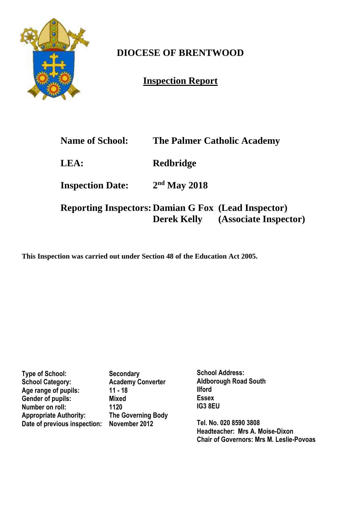

# **DIOCESE OF BRENTWOOD**

**Inspection Report**

| <b>Name of School:</b>                                     |                | <b>The Palmer Catholic Academy</b>       |
|------------------------------------------------------------|----------------|------------------------------------------|
| <b>LEA:</b>                                                | Redbridge      |                                          |
| <b>Inspection Date:</b>                                    | $2nd$ May 2018 |                                          |
| <b>Reporting Inspectors: Damian G Fox (Lead Inspector)</b> |                | <b>Derek Kelly</b> (Associate Inspector) |

**This Inspection was carried out under Section 48 of the Education Act 2005.**

**Type of School: Secondary<br>
School Category: Academy C** Academy Converter<br>11 - 18 Age range of pupils: **Gender of pupils: Mixed Number on roll:** 1120<br> **Appropriate Authority:** The Governing Body **Appropriate Authority: Date of previous inspection: November 2012**

**School Address: Aldborough Road South Ilford Essex IG3 8EU** 

**Tel. No. 020 8590 3808 Headteacher: Mrs A. Moise-Dixon Chair of Governors: Mrs M. Leslie-Povoas**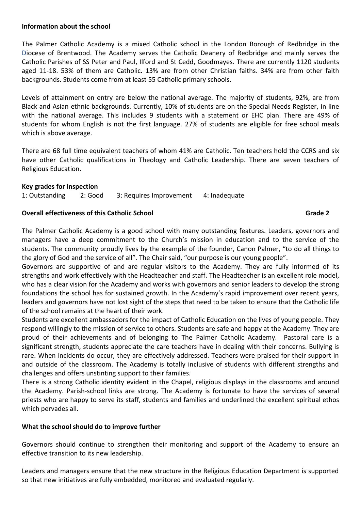### **Information about the school**

The Palmer Catholic Academy is a mixed Catholic school in the London Borough of Redbridge in the Diocese of Brentwood. The Academy serves the Catholic Deanery of Redbridge and mainly serves the Catholic Parishes of SS Peter and Paul, Ilford and St Cedd, Goodmayes. There are currently 1120 students aged 11-18. 53% of them are Catholic. 13% are from other Christian faiths. 34% are from other faith backgrounds. Students come from at least 55 Catholic primary schools.

Levels of attainment on entry are below the national average. The majority of students, 92%, are from Black and Asian ethnic backgrounds. Currently, 10% of students are on the Special Needs Register, in line with the national average. This includes 9 students with a statement or EHC plan. There are 49% of students for whom English is not the first language. 27% of students are eligible for free school meals which is above average.

There are 68 full time equivalent teachers of whom 41% are Catholic. Ten teachers hold the CCRS and six have other Catholic qualifications in Theology and Catholic Leadership. There are seven teachers of Religious Education.

## **Key grades for inspection**

1: Outstanding 2: Good 3: Requires Improvement 4: Inadequate

### **Overall effectiveness of this Catholic School Grade 2 Canadian Constanting Catholic School** Grade 2

The Palmer Catholic Academy is a good school with many outstanding features. Leaders, governors and managers have a deep commitment to the Church's mission in education and to the service of the students. The community proudly lives by the example of the founder, Canon Palmer, "to do all things to the glory of God and the service of all". The Chair said, "our purpose is our young people".

Governors are supportive of and are regular visitors to the Academy. They are fully informed of its strengths and work effectively with the Headteacher and staff. The Headteacher is an excellent role model, who has a clear vision for the Academy and works with governors and senior leaders to develop the strong foundations the school has for sustained growth. In the Academy's rapid improvement over recent years, leaders and governors have not lost sight of the steps that need to be taken to ensure that the Catholic life of the school remains at the heart of their work.

Students are excellent ambassadors for the impact of Catholic Education on the lives of young people. They respond willingly to the mission of service to others. Students are safe and happy at the Academy. They are proud of their achievements and of belonging to The Palmer Catholic Academy. Pastoral care is a significant strength, students appreciate the care teachers have in dealing with their concerns. Bullying is rare. When incidents do occur, they are effectively addressed. Teachers were praised for their support in and outside of the classroom. The Academy is totally inclusive of students with different strengths and challenges and offers unstinting support to their families.

There is a strong Catholic identity evident in the Chapel, religious displays in the classrooms and around the Academy. Parish-school links are strong. The Academy is fortunate to have the services of several priests who are happy to serve its staff, students and families and underlined the excellent spiritual ethos which pervades all.

## **What the school should do to improve further**

Governors should continue to strengthen their monitoring and support of the Academy to ensure an effective transition to its new leadership.

Leaders and managers ensure that the new structure in the Religious Education Department is supported so that new initiatives are fully embedded, monitored and evaluated regularly.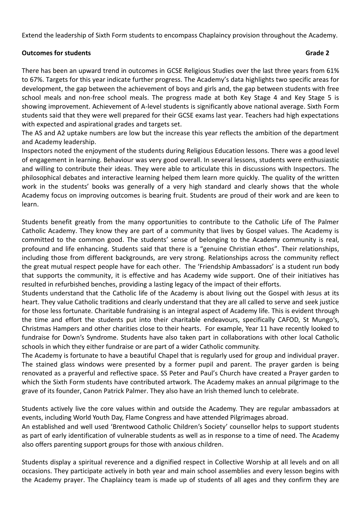Extend the leadership of Sixth Form students to encompass Chaplaincy provision throughout the Academy.

# **Outcomes for students Grade 2** and  $\overline{a}$  and  $\overline{b}$  and  $\overline{c}$  and  $\overline{d}$  and  $\overline{c}$  and  $\overline{c}$  and  $\overline{c}$  and  $\overline{c}$  and  $\overline{c}$  and  $\overline{c}$  and  $\overline{c}$  and  $\overline{c}$  and  $\overline{c}$  and  $\overline{c}$  and  $\overline$

There has been an upward trend in outcomes in GCSE Religious Studies over the last three years from 61% to 67%. Targets for this year indicate further progress. The Academy's data highlights two specific areas for development, the gap between the achievement of boys and girls and, the gap between students with free school meals and non-free school meals. The progress made at both Key Stage 4 and Key Stage 5 is showing improvement. Achievement of A-level students is significantly above national average. Sixth Form students said that they were well prepared for their GCSE exams last year. Teachers had high expectations with expected and aspirational grades and targets set.

The AS and A2 uptake numbers are low but the increase this year reflects the ambition of the department and Academy leadership.

Inspectors noted the enjoyment of the students during Religious Education lessons. There was a good level of engagement in learning. Behaviour was very good overall. In several lessons, students were enthusiastic and willing to contribute their ideas. They were able to articulate this in discussions with Inspectors. The philosophical debates and interactive learning helped them learn more quickly. The quality of the written work in the students' books was generally of a very high standard and clearly shows that the whole Academy focus on improving outcomes is bearing fruit. Students are proud of their work and are keen to learn.

Students benefit greatly from the many opportunities to contribute to the Catholic Life of The Palmer Catholic Academy. They know they are part of a community that lives by Gospel values. The Academy is committed to the common good. The students' sense of belonging to the Academy community is real, profound and life enhancing. Students said that there is a "genuine Christian ethos". Their relationships, including those from different backgrounds, are very strong. Relationships across the community reflect the great mutual respect people have for each other. The 'Friendship Ambassadors' is a student run body that supports the community, it is effective and has Academy wide support. One of their initiatives has resulted in refurbished benches, providing a lasting legacy of the impact of their efforts.

Students understand that the Catholic life of the Academy is about living out the Gospel with Jesus at its heart. They value Catholic traditions and clearly understand that they are all called to serve and seek justice for those less fortunate. Charitable fundraising is an integral aspect of Academy life. This is evident through the time and effort the students put into their charitable endeavours, specifically CAFOD, St Mungo's, Christmas Hampers and other charities close to their hearts. For example, Year 11 have recently looked to fundraise for Down's Syndrome. Students have also taken part in collaborations with other local Catholic schools in which they either fundraise or are part of a wider Catholic community.

The Academy is fortunate to have a beautiful Chapel that is regularly used for group and individual prayer. The stained glass windows were presented by a former pupil and parent. The prayer garden is being renovated as a prayerful and reflective space. SS Peter and Paul's Church have created a Prayer garden to which the Sixth Form students have contributed artwork. The Academy makes an annual pilgrimage to the grave of its founder, Canon Patrick Palmer. They also have an Irish themed lunch to celebrate.

Students actively live the core values within and outside the Academy. They are regular ambassadors at events, including World Youth Day, Flame Congress and have attended Pilgrimages abroad.

An established and well used 'Brentwood Catholic Children's Society' counsellor helps to support students as part of early identification of vulnerable students as well as in response to a time of need. The Academy also offers parenting support groups for those with anxious children.

Students display a spiritual reverence and a dignified respect in Collective Worship at all levels and on all occasions. They participate actively in both year and main school assemblies and every lesson begins with the Academy prayer. The Chaplaincy team is made up of students of all ages and they confirm they are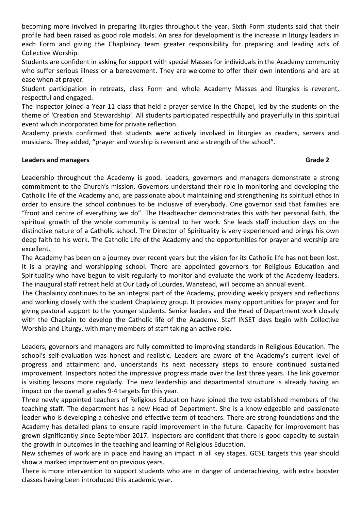becoming more involved in preparing liturgies throughout the year. Sixth Form students said that their profile had been raised as good role models. An area for development is the increase in liturgy leaders in each Form and giving the Chaplaincy team greater responsibility for preparing and leading acts of Collective Worship.

Students are confident in asking for support with special Masses for individuals in the Academy community who suffer serious illness or a bereavement. They are welcome to offer their own intentions and are at ease when at prayer.

Student participation in retreats, class Form and whole Academy Masses and liturgies is reverent, respectful and engaged.

The Inspector joined a Year 11 class that held a prayer service in the Chapel, led by the students on the theme of 'Creation and Stewardship'. All students participated respectfully and prayerfully in this spiritual event which incorporated time for private reflection.

Academy priests confirmed that students were actively involved in liturgies as readers, servers and musicians. They added, "prayer and worship is reverent and a strength of the school".

# **Leaders and managers Grade 2**

Leadership throughout the Academy is good. Leaders, governors and managers demonstrate a strong commitment to the Church's mission. Governors understand their role in monitoring and developing the Catholic life of the Academy and, are passionate about maintaining and strengthening its spiritual ethos in order to ensure the school continues to be inclusive of everybody. One governor said that families are "front and centre of everything we do". The Headteacher demonstrates this with her personal faith, the spiritual growth of the whole community is central to her work. She leads staff induction days on the distinctive nature of a Catholic school. The Director of Spirituality is very experienced and brings his own deep faith to his work. The Catholic Life of the Academy and the opportunities for prayer and worship are excellent.

The Academy has been on a journey over recent years but the vision for its Catholic life has not been lost. It is a praying and worshipping school. There are appointed governors for Religious Education and Spirituality who have begun to visit regularly to monitor and evaluate the work of the Academy leaders. The inaugural staff retreat held at Our Lady of Lourdes, Wanstead, will become an annual event.

The Chaplaincy continues to be an integral part of the Academy, providing weekly prayers and reflections and working closely with the student Chaplaincy group. It provides many opportunities for prayer and for giving pastoral support to the younger students. Senior leaders and the Head of Department work closely with the Chaplain to develop the Catholic life of the Academy. Staff INSET days begin with Collective Worship and Liturgy, with many members of staff taking an active role.

Leaders, governors and managers are fully committed to improving standards in Religious Education. The school's self-evaluation was honest and realistic. Leaders are aware of the Academy's current level of progress and attainment and, understands its next necessary steps to ensure continued sustained improvement. Inspectors noted the impressive progress made over the last three years. The link governor is visiting lessons more regularly. The new leadership and departmental structure is already having an impact on the overall grades 9-4 targets for this year.

Three newly appointed teachers of Religious Education have joined the two established members of the teaching staff. The department has a new Head of Department. She is a knowledgeable and passionate leader who is developing a cohesive and effective team of teachers. There are strong foundations and the Academy has detailed plans to ensure rapid improvement in the future. Capacity for improvement has grown significantly since September 2017. Inspectors are confident that there is good capacity to sustain the growth in outcomes in the teaching and learning of Religious Education.

New schemes of work are in place and having an impact in all key stages. GCSE targets this year should show a marked improvement on previous years.

There is more intervention to support students who are in danger of underachieving, with extra booster classes having been introduced this academic year.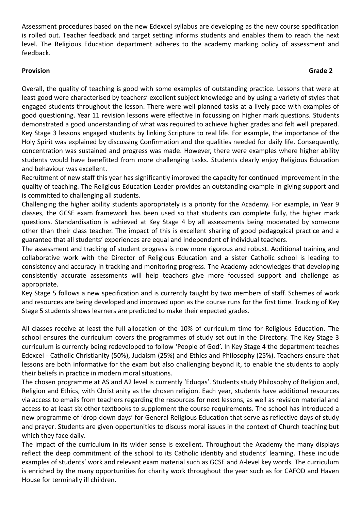Assessment procedures based on the new Edexcel syllabus are developing as the new course specification is rolled out. Teacher feedback and target setting informs students and enables them to reach the next level. The Religious Education department adheres to the academy marking policy of assessment and feedback.

# **Provision Grade 2**

Overall, the quality of teaching is good with some examples of outstanding practice. Lessons that were at least good were characterised by teachers' excellent subject knowledge and by using a variety of styles that engaged students throughout the lesson. There were well planned tasks at a lively pace with examples of good questioning. Year 11 revision lessons were effective in focussing on higher mark questions. Students demonstrated a good understanding of what was required to achieve higher grades and felt well prepared. Key Stage 3 lessons engaged students by linking Scripture to real life. For example, the importance of the Holy Spirit was explained by discussing Confirmation and the qualities needed for daily life. Consequently, concentration was sustained and progress was made. However, there were examples where higher ability students would have benefitted from more challenging tasks. Students clearly enjoy Religious Education and behaviour was excellent.

Recruitment of new staff this year has significantly improved the capacity for continued improvement in the quality of teaching. The Religious Education Leader provides an outstanding example in giving support and is committed to challenging all students.

Challenging the higher ability students appropriately is a priority for the Academy. For example, in Year 9 classes, the GCSE exam framework has been used so that students can complete fully, the higher mark questions. Standardisation is achieved at Key Stage 4 by all assessments being moderated by someone other than their class teacher. The impact of this is excellent sharing of good pedagogical practice and a guarantee that all students' experiences are equal and independent of individual teachers.

The assessment and tracking of student progress is now more rigorous and robust. Additional training and collaborative work with the Director of Religious Education and a sister Catholic school is leading to consistency and accuracy in tracking and monitoring progress. The Academy acknowledges that developing consistently accurate assessments will help teachers give more focussed support and challenge as appropriate.

Key Stage 5 follows a new specification and is currently taught by two members of staff. Schemes of work and resources are being developed and improved upon as the course runs for the first time. Tracking of Key Stage 5 students shows learners are predicted to make their expected grades.

All classes receive at least the full allocation of the 10% of curriculum time for Religious Education. The school ensures the curriculum covers the programmes of study set out in the Directory. The Key Stage 3 curriculum is currently being redeveloped to follow 'People of God'. In Key Stage 4 the department teaches Edexcel - Catholic Christianity (50%), Judaism (25%) and Ethics and Philosophy (25%). Teachers ensure that lessons are both informative for the exam but also challenging beyond it, to enable the students to apply their beliefs in practice in modern moral situations.

The chosen programme at AS and A2 level is currently 'Eduqas'. Students study Philosophy of Religion and, Religion and Ethics, with Christianity as the chosen religion. Each year, students have additional resources via access to emails from teachers regarding the resources for next lessons, as well as revision material and access to at least six other textbooks to supplement the course requirements. The school has introduced a new programme of 'drop-down days' for General Religious Education that serve as reflective days of study and prayer. Students are given opportunities to discuss moral issues in the context of Church teaching but which they face daily.

The impact of the curriculum in its wider sense is excellent. Throughout the Academy the many displays reflect the deep commitment of the school to its Catholic identity and students' learning. These include examples of students' work and relevant exam material such as GCSE and A-level key words. The curriculum is enriched by the many opportunities for charity work throughout the year such as for CAFOD and Haven House for terminally ill children.